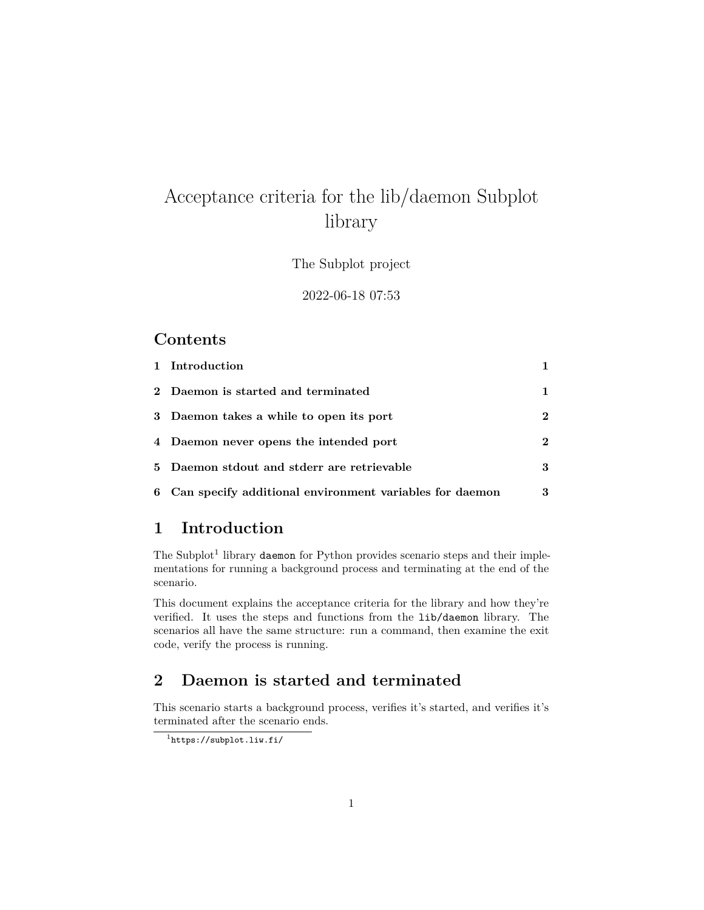# Acceptance criteria for the lib/daemon Subplot library

The Subplot project

#### 2022-06-18 07:53

### **Contents**

| 1 Introduction                                            |              |
|-----------------------------------------------------------|--------------|
| 2 Daemon is started and terminated                        | 1            |
| 3 Daemon takes a while to open its port                   | $\mathbf{2}$ |
| 4 Daemon never opens the intended port                    | $\mathbf{2}$ |
| 5 Daemon stdout and stderr are retrievable                | 3            |
| 6 Can specify additional environment variables for daemon | 3            |

### <span id="page-0-0"></span>**1 Introduction**

The Subplot<sup>[1](#page-0-2)</sup> library daemon for Python provides scenario steps and their implementations for running a background process and terminating at the end of the scenario.

This document explains the acceptance criteria for the library and how they're verified. It uses the steps and functions from the lib/daemon library. The scenarios all have the same structure: run a command, then examine the exit code, verify the process is running.

## <span id="page-0-1"></span>**2 Daemon is started and terminated**

This scenario starts a background process, verifies it's started, and verifies it's terminated after the scenario ends.

<span id="page-0-2"></span><sup>1</sup><https://subplot.liw.fi/>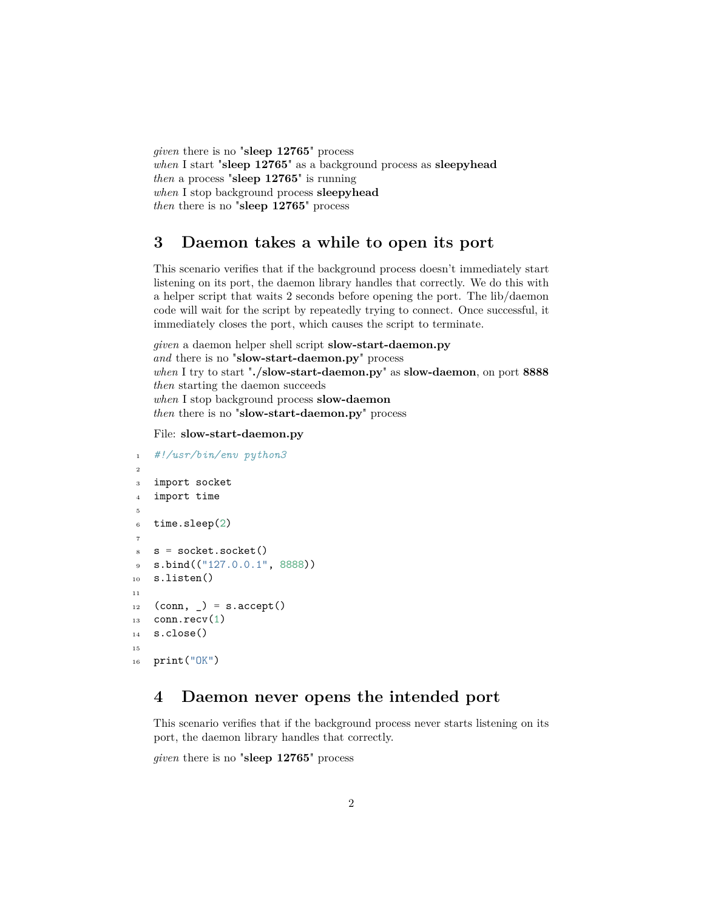*given* there is no "**sleep 12765**" process *when* I start "**sleep 12765**" as a background process as **sleepyhead** *then* a process "**sleep 12765**" is running *when* I stop background process **sleepyhead** *then* there is no "**sleep 12765**" process

## <span id="page-1-0"></span>**3 Daemon takes a while to open its port**

This scenario verifies that if the background process doesn't immediately start listening on its port, the daemon library handles that correctly. We do this with a helper script that waits 2 seconds before opening the port. The lib/daemon code will wait for the script by repeatedly trying to connect. Once successful, it immediately closes the port, which causes the script to terminate.

*given* a daemon helper shell script **slow-start-daemon.py** *and* there is no "**slow-start-daemon.py**" process *when* I try to start "**./slow-start-daemon.py**" as **slow-daemon**, on port **8888** *then* starting the daemon succeeds *when* I stop background process **slow-daemon** *then* there is no "**slow-start-daemon.py**" process

File: **slow-start-daemon.py**

```
1 #!/usr/bin/env python3
2
3 import socket
4 import time
5
6 time.sleep(2)7
s = socket.socket()
9 s.bind(("127.0.0.1", 8888))
10 s.listen()
11
_{12} (conn, _) = s.accept()
_{13} conn.recv(1)
14 s.close()
15
_{16} print ("OK")
```
## <span id="page-1-1"></span>**4 Daemon never opens the intended port**

This scenario verifies that if the background process never starts listening on its port, the daemon library handles that correctly.

*given* there is no "**sleep 12765**" process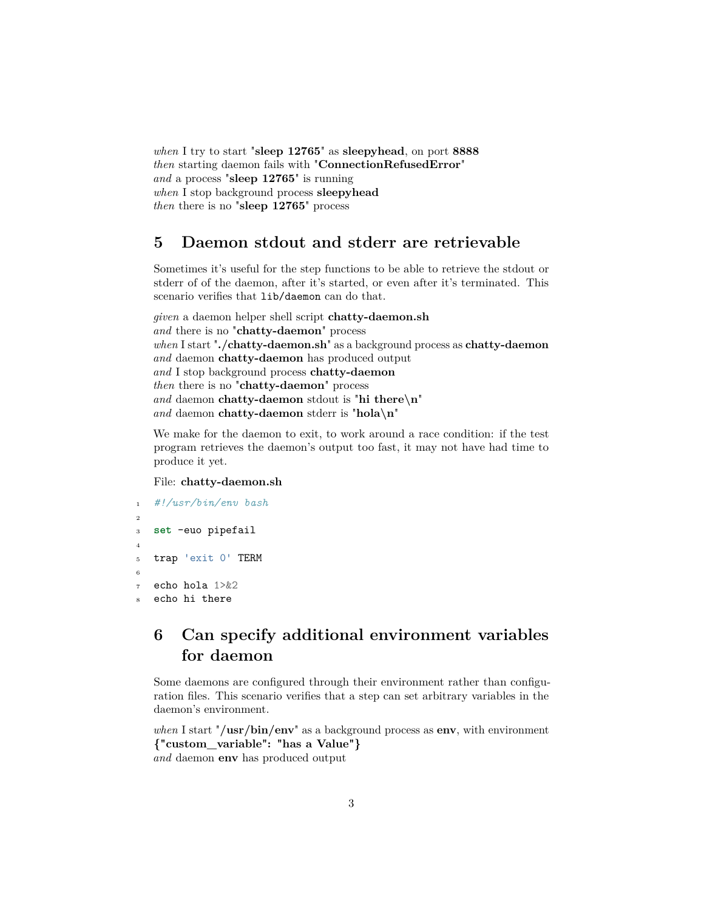*when* I try to start "**sleep 12765**" as **sleepyhead**, on port **8888** *then* starting daemon fails with "**ConnectionRefusedError**" *and* a process "**sleep 12765**" is running *when* I stop background process **sleepyhead** *then* there is no "**sleep 12765**" process

#### <span id="page-2-0"></span>**5 Daemon stdout and stderr are retrievable**

Sometimes it's useful for the step functions to be able to retrieve the stdout or stderr of of the daemon, after it's started, or even after it's terminated. This scenario verifies that lib/daemon can do that.

```
given a daemon helper shell script chatty-daemon.sh
and there is no "chatty-daemon" process
when I start "./chatty-daemon.sh" as a background process as chatty-daemon
and daemon chatty-daemon has produced output
and I stop background process chatty-daemon
then there is no "chatty-daemon" process
and daemon chatty-daemon stdout is "hi there\n"
and daemon chatty-daemon stderr is "hola\n"
```
We make for the daemon to exit, to work around a race condition: if the test program retrieves the daemon's output too fast, it may not have had time to produce it yet.

#### File: **chatty-daemon.sh**

```
1 #!/usr/bin/env bash
\overline{2}3 set -euo pipefail
4
5 trap 'exit 0' TERM
6
7 echo hola 1>&2
   echo hi there
```
# <span id="page-2-1"></span>**6 Can specify additional environment variables for daemon**

Some daemons are configured through their environment rather than configuration files. This scenario verifies that a step can set arbitrary variables in the daemon's environment.

*when* I start "**/usr/bin/env**" as a background process as **env**, with environment **{"custom\_variable": "has a Value"}** *and* daemon **env** has produced output